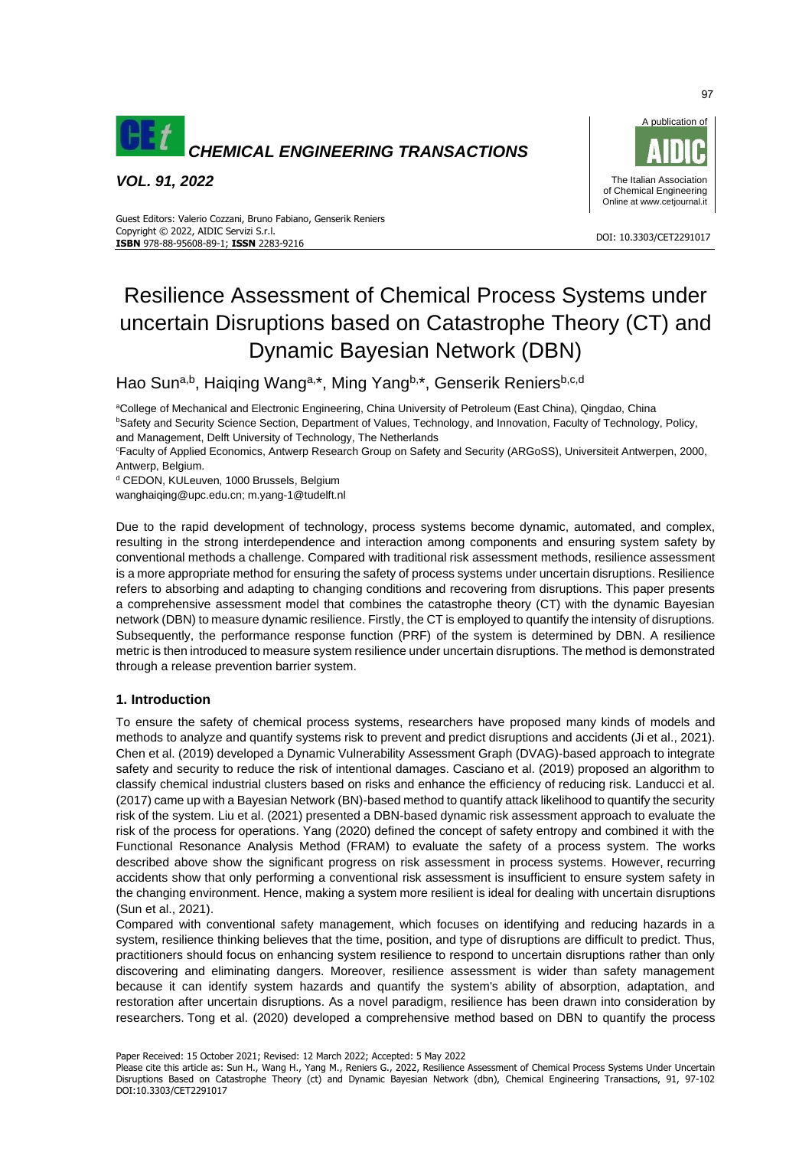

*VOL. 91, 2022*



#### DOI: 10.3303/CET2291017 **ISBN** 978-88-95608-89-1; **ISSN** 2283-9216 Guest Editors: Valerio Cozzani, Bruno Fabiano, Genserik Reniers Copyright © 2022, AIDIC Servizi S.r.l.

# Resilience Assessment of Chemical Process Systems under uncertain Disruptions based on Catastrophe Theory (CT) and Dynamic Bayesian Network (DBN)

Hao Sun<sup>a,b</sup>, Haiqing Wang<sup>a,\*</sup>, Ming Yang<sup>b,\*</sup>, Genserik Reniers<sup>b,c,d</sup>

aCollege of Mechanical and Electronic Engineering, China University of Petroleum (East China), Qingdao, China **bSafety and Security Science Section, Department of Values, Technology, and Innovation, Faculty of Technology, Policy,** and Management, Delft University of Technology, The Netherlands

<sup>c</sup>Faculty of Applied Economics, Antwerp Research Group on Safety and Security (ARGoSS), Universiteit Antwerpen, 2000, Antwerp, Belgium.

<sup>d</sup> CEDON, KULeuven, 1000 Brussels, Belgium

[wanghaiqing@upc.edu.cn;](mailto:wanghaiqing@upc.edu.cn) m.yang-1@tudelft.nl

Due to the rapid development of technology, process systems become dynamic, automated, and complex, resulting in the strong interdependence and interaction among components and ensuring system safety by conventional methods a challenge. Compared with traditional risk assessment methods, resilience assessment is a more appropriate method for ensuring the safety of process systems under uncertain disruptions. Resilience refers to absorbing and adapting to changing conditions and recovering from disruptions. This paper presents a comprehensive assessment model that combines the catastrophe theory (CT) with the dynamic Bayesian network (DBN) to measure dynamic resilience. Firstly, the CT is employed to quantify the intensity of disruptions. Subsequently, the performance response function (PRF) of the system is determined by DBN. A resilience metric is then introduced to measure system resilience under uncertain disruptions. The method is demonstrated through a release prevention barrier system.

# **1. Introduction**

To ensure the safety of chemical process systems, researchers have proposed many kinds of models and methods to analyze and quantify systems risk to prevent and predict disruptions and accidents (Ji et al., 2021). Chen et al. (2019) developed a Dynamic Vulnerability Assessment Graph (DVAG)-based approach to integrate safety and security to reduce the risk of intentional damages. Casciano et al. (2019) proposed an algorithm to classify chemical industrial clusters based on risks and enhance the efficiency of reducing risk. Landucci et al. (2017) came up with a Bayesian Network (BN)-based method to quantify attack likelihood to quantify the security risk of the system. Liu et al. (2021) presented a DBN-based dynamic risk assessment approach to evaluate the risk of the process for operations. Yang (2020) defined the concept of safety entropy and combined it with the Functional Resonance Analysis Method (FRAM) to evaluate the safety of a process system. The works described above show the significant progress on risk assessment in process systems. However, recurring accidents show that only performing a conventional risk assessment is insufficient to ensure system safety in the changing environment. Hence, making a system more resilient is ideal for dealing with uncertain disruptions (Sun et al., 2021).

Compared with conventional safety management, which focuses on identifying and reducing hazards in a system, resilience thinking believes that the time, position, and type of disruptions are difficult to predict. Thus, practitioners should focus on enhancing system resilience to respond to uncertain disruptions rather than only discovering and eliminating dangers. Moreover, resilience assessment is wider than safety management because it can identify system hazards and quantify the system's ability of absorption, adaptation, and restoration after uncertain disruptions. As a novel paradigm, resilience has been drawn into consideration by researchers. Tong et al. (2020) developed a comprehensive method based on DBN to quantify the process

Paper Received: 15 October 2021; Revised: 12 March 2022; Accepted: 5 May 2022

Please cite this article as: Sun H., Wang H., Yang M., Reniers G., 2022, Resilience Assessment of Chemical Process Systems Under Uncertain Disruptions Based on Catastrophe Theory (ct) and Dynamic Bayesian Network (dbn), Chemical Engineering Transactions, 91, 97-102 DOI:10.3303/CET2291017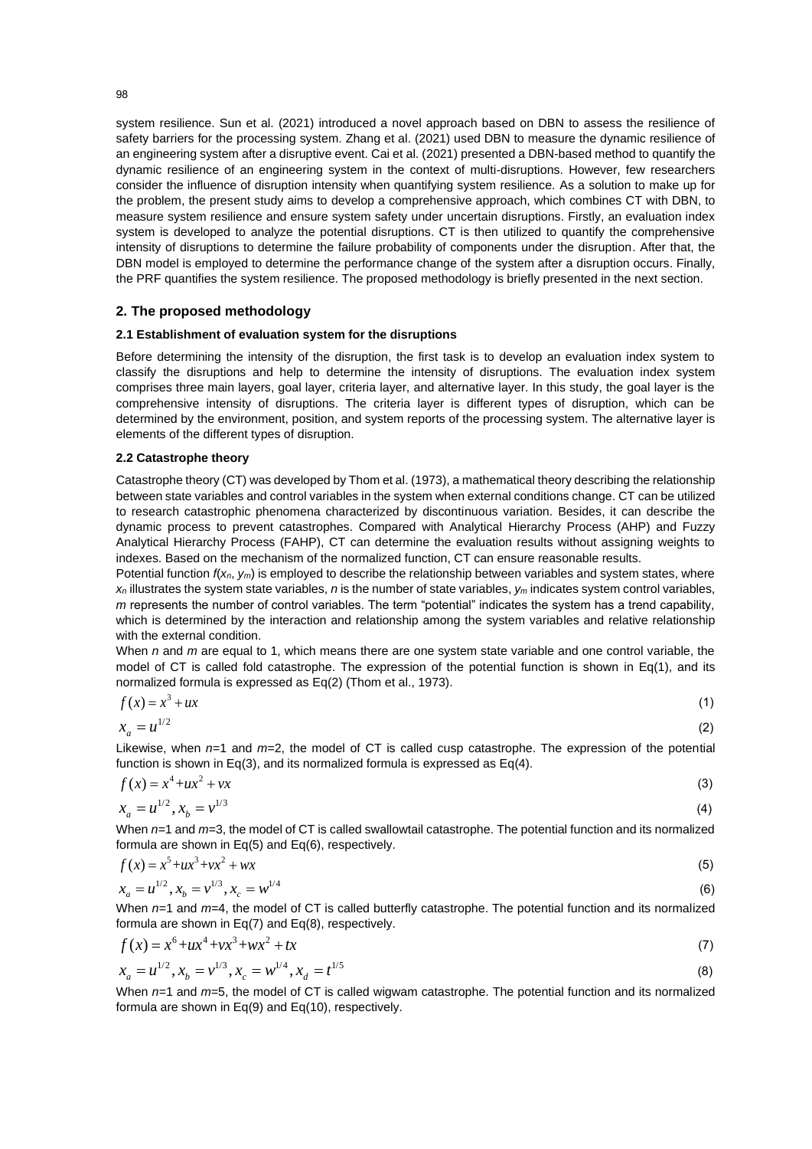system resilience. Sun et al. (2021) introduced a novel approach based on DBN to assess the resilience of safety barriers for the processing system. Zhang et al. (2021) used DBN to measure the dynamic resilience of an engineering system after a disruptive event. Cai et al. (2021) presented a DBN-based method to quantify the dynamic resilience of an engineering system in the context of multi-disruptions. However, few researchers consider the influence of disruption intensity when quantifying system resilience. As a solution to make up for the problem, the present study aims to develop a comprehensive approach, which combines CT with DBN, to measure system resilience and ensure system safety under uncertain disruptions. Firstly, an evaluation index system is developed to analyze the potential disruptions. CT is then utilized to quantify the comprehensive intensity of disruptions to determine the failure probability of components under the disruption. After that, the DBN model is employed to determine the performance change of the system after a disruption occurs. Finally, the PRF quantifies the system resilience. The proposed methodology is briefly presented in the next section.

## **2. The proposed methodology**

#### **2.1 Establishment of evaluation system for the disruptions**

Before determining the intensity of the disruption, the first task is to develop an evaluation index system to classify the disruptions and help to determine the intensity of disruptions. The evaluation index system comprises three main layers, goal layer, criteria layer, and alternative layer. In this study, the goal layer is the comprehensive intensity of disruptions. The criteria layer is different types of disruption, which can be determined by the environment, position, and system reports of the processing system. The alternative layer is elements of the different types of disruption.

#### **2.2 Catastrophe theory**

Catastrophe theory (CT) was developed by Thom et al. (1973), a mathematical theory describing the relationship between state variables and control variables in the system when external conditions change. CT can be utilized to research catastrophic phenomena characterized by discontinuous variation. Besides, it can describe the dynamic process to prevent catastrophes. Compared with Analytical Hierarchy Process (AHP) and Fuzzy Analytical Hierarchy Process (FAHP), CT can determine the evaluation results without assigning weights to indexes. Based on the mechanism of the normalized function, CT can ensure reasonable results.

Potential function  $f(x_n, y_m)$  is employed to describe the relationship between variables and system states, where *x<sup>n</sup>* illustrates the system state variables, *n* is the number of state variables, *y<sup>m</sup>* indicates system control variables, *m* represents the number of control variables. The term "potential" indicates the system has a trend capability, which is determined by the interaction and relationship among the system variables and relative relationship with the external condition.

When *n* and *m* are equal to 1, which means there are one system state variable and one control variable, the model of CT is called fold catastrophe. The expression of the potential function is shown in Eq(1), and its normalized formula is expressed as Eq(2) (Thom et al., 1973).

$$
f(x) = x^3 + ux \tag{1}
$$

$$
x_a = u^{1/2} \tag{2}
$$

Likewise, when *n=*1 and *m=*2, the model of CT is called cusp catastrophe. The expression of the potential function is shown in Eq(3), and its normalized formula is expressed as Eq(4).

$$
f(x) = x^4 + ux^2 + vx
$$
  
\n
$$
x_a = u^{1/2}, x_b = v^{1/3}
$$
\n(3)

When  $n=1$  and  $m=3$ , the model of CT is called swallowtail catastrophe. The potential function and its normalized formula are shown in Eq(5) and Eq(6), respectively.

$$
f(x) = x^5 + ux^3 + vx^2 + wx
$$
\n(5)

$$
x_a = u^{1/2}, x_b = v^{1/3}, x_c = w^{1/4}
$$
 (6)

When  $n=1$  and  $m=4$ , the model of CT is called butterfly catastrophe. The potential function and its normalized formula are shown in Eq(7) and Eq(8), respectively.

$$
f(x) = x^6 + ux^4 + vx^3 + wx^2 + tx \tag{7}
$$

$$
x_a = u^{1/2}, x_b = v^{1/3}, x_c = w^{1/4}, x_d = t^{1/5}
$$
 (8)

When  $n=1$  and  $m=5$ , the model of CT is called wigwam catastrophe. The potential function and its normalized formula are shown in Eq(9) and Eq(10), respectively.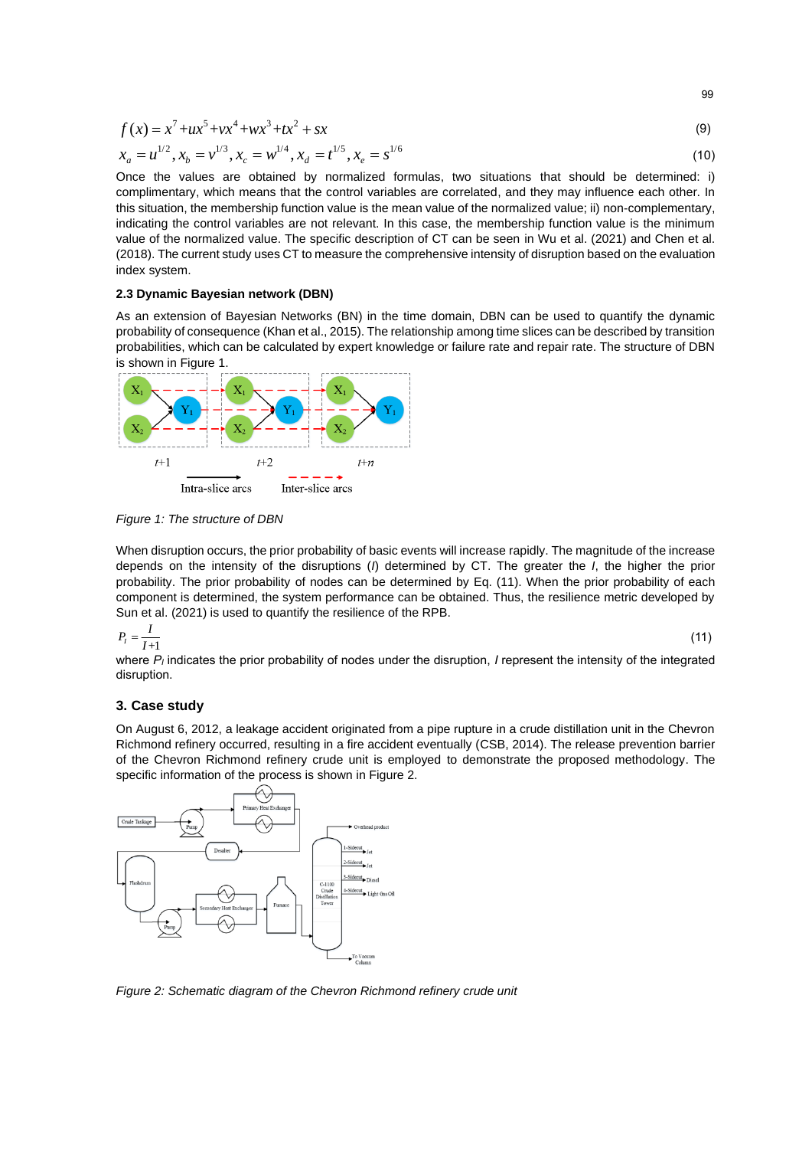$$
f(x) = x^7 + ux^5 + vx^4 + wx^3 + tx^2 + sx
$$
 (9)

$$
x_a = u^{1/2}, x_b = v^{1/3}, x_c = w^{1/4}, x_d = t^{1/5}, x_e = s^{1/6}
$$
\n(10)

Once the values are obtained by normalized formulas, two situations that should be determined: i) complimentary, which means that the control variables are correlated, and they may influence each other. In this situation, the membership function value is the mean value of the normalized value; ii) non-complementary, indicating the control variables are not relevant. In this case, the membership function value is the minimum value of the normalized value. The specific description of CT can be seen in Wu et al. (2021) and Chen et al. (2018). The current study uses CT to measure the comprehensive intensity of disruption based on the evaluation index system.

#### **2.3 Dynamic Bayesian network (DBN)**

As an extension of Bayesian Networks (BN) in the time domain, DBN can be used to quantify the dynamic probability of consequence (Khan et al., 2015). The relationship among time slices can be described by transition probabilities, which can be calculated by expert knowledge or failure rate and repair rate. The structure of DBN is shown in Figure 1.



*Figure 1: The structure of DBN*

When disruption occurs, the prior probability of basic events will increase rapidly. The magnitude of the increase depends on the intensity of the disruptions (*I*) determined by CT. The greater the *I*, the higher the prior probability. The prior probability of nodes can be determined by Eq. (11). When the prior probability of each component is determined, the system performance can be obtained. Thus, the resilience metric developed by Sun et al. (2021) is used to quantify the resilience of the RPB.

$$
P_{I} = \frac{I}{I+1} \tag{11}
$$

where *P<sup>I</sup>* indicates the prior probability of nodes under the disruption, *I* represent the intensity of the integrated disruption.

#### **3. Case study**

On August 6, 2012, a leakage accident originated from a pipe rupture in a crude distillation unit in the Chevron Richmond refinery occurred, resulting in a fire accident eventually (CSB, 2014). The release prevention barrier of the Chevron Richmond refinery crude unit is employed to demonstrate the proposed methodology. The specific information of the process is shown in Figure 2.



*Figure 2: Schematic diagram of the Chevron Richmond refinery crude unit*

99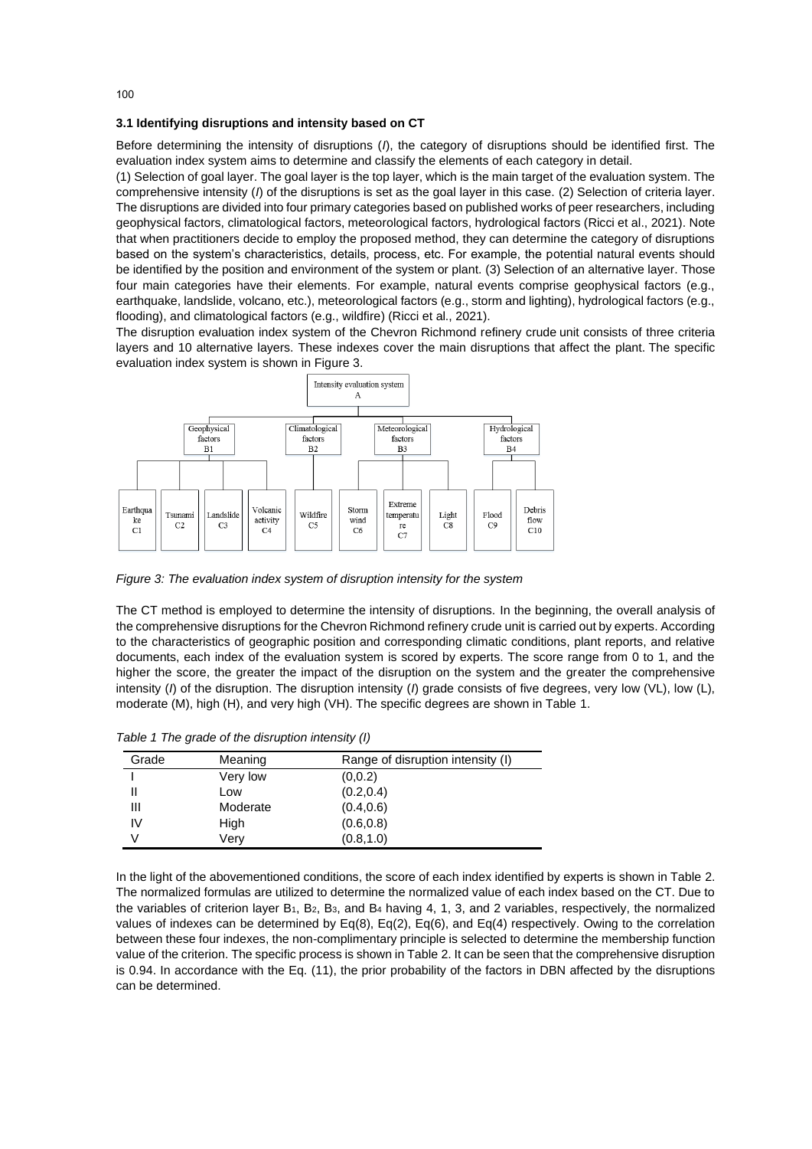#### **3.1 Identifying disruptions and intensity based on CT**

Before determining the intensity of disruptions (*I*), the category of disruptions should be identified first. The evaluation index system aims to determine and classify the elements of each category in detail.

(1) Selection of goal layer. The goal layer is the top layer, which is the main target of the evaluation system. The comprehensive intensity (*I*) of the disruptions is set as the goal layer in this case. (2) Selection of criteria layer. The disruptions are divided into four primary categories based on published works of peer researchers, including geophysical factors, climatological factors, meteorological factors, hydrological factors (Ricci et al., 2021). Note that when practitioners decide to employ the proposed method, they can determine the category of disruptions based on the system's characteristics, details, process, etc. For example, the potential natural events should be identified by the position and environment of the system or plant. (3) Selection of an alternative layer. Those four main categories have their elements. For example, natural events comprise geophysical factors (e.g., earthquake, landslide, volcano, etc.), meteorological factors (e.g., storm and lighting), hydrological factors (e.g., flooding), and climatological factors (e.g., wildfire) (Ricci et al., 2021).

The disruption evaluation index system of the Chevron Richmond refinery crude unit consists of three criteria layers and 10 alternative layers. These indexes cover the main disruptions that affect the plant. The specific evaluation index system is shown in Figure 3.



*Figure 3: The evaluation index system of disruption intensity for the system*

The CT method is employed to determine the intensity of disruptions. In the beginning, the overall analysis of the comprehensive disruptions for the Chevron Richmond refinery crude unit is carried out by experts. According to the characteristics of [geographic](javascript:;) [position](javascript:;) and corresponding climatic conditions, plant reports, and relative documents, each index of the evaluation system is scored by experts. The score range from 0 to 1, and the higher the score, the greater the impact of the disruption on the system and the greater the comprehensive intensity (*I*) of the disruption. The disruption intensity (*I*) grade consists of five degrees, very low (VL), low (L), moderate (M), high (H), and very high (VH). The specific degrees are shown in Table 1.

*Table 1 The grade of the disruption intensity (I)*

| Grade | Meaning  | Range of disruption intensity (I) |  |  |
|-------|----------|-----------------------------------|--|--|
|       | Very low | (0,0.2)                           |  |  |
|       | Low      | (0.2, 0.4)                        |  |  |
| Ш     | Moderate | (0.4, 0.6)                        |  |  |
| IV    | High     | (0.6, 0.8)                        |  |  |
| V     | Very     | (0.8, 1.0)                        |  |  |

In the light of the abovementioned conditions, the score of each index identified by experts is shown in Table 2. The normalized formulas are utilized to determine the normalized value of each index based on the CT. Due to the variables of criterion layer  $B_1$ ,  $B_2$ ,  $B_3$ , and  $B_4$  having 4, 1, 3, and 2 variables, respectively, the normalized values of indexes can be determined by Eq(8), Eq(2), Eq(6), and Eq(4) respectively. Owing to the correlation between these four indexes, the non-complimentary principle is selected to determine the membership function value of the criterion. The specific process is shown in Table 2. It can be seen that the comprehensive disruption is 0.94. In accordance with the Eq. (11), the prior probability of the factors in DBN affected by the disruptions can be determined.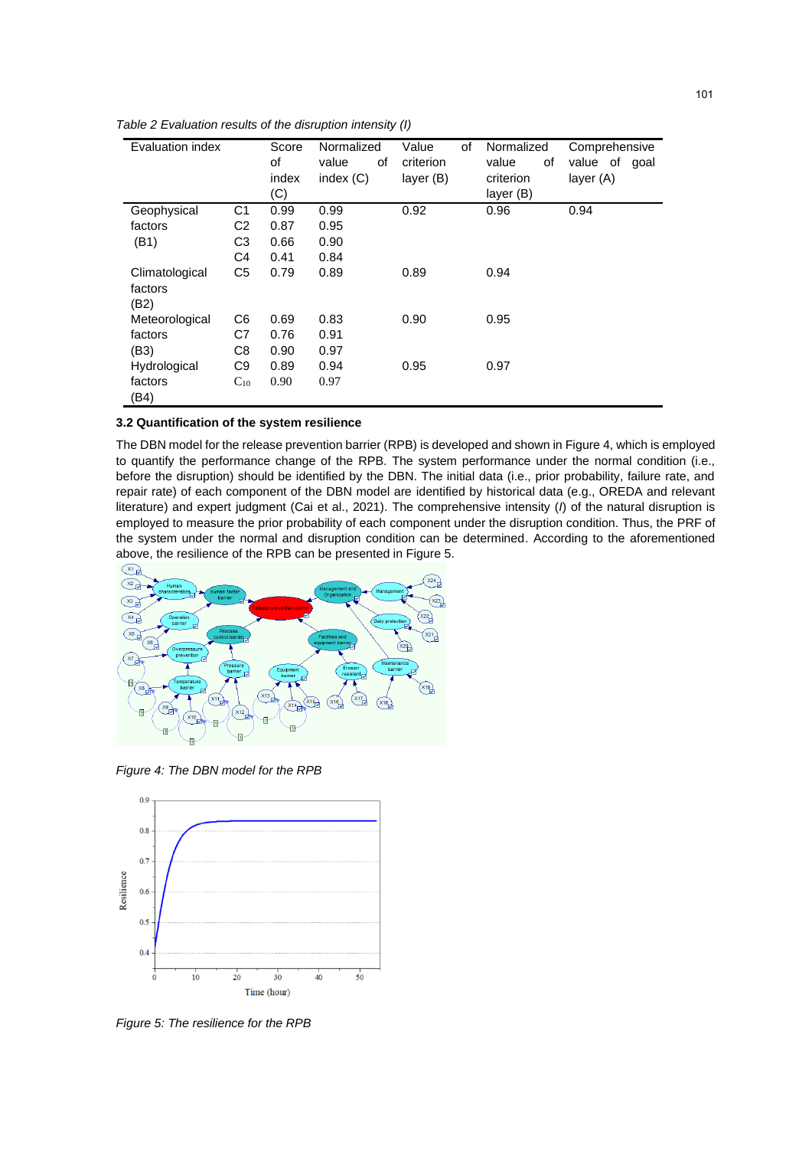| Evaluation index |                | Score | Normalized  | Value<br>of | Normalized  | Comprehensive    |
|------------------|----------------|-------|-------------|-------------|-------------|------------------|
|                  |                | of    | value<br>οf | criterion   | value<br>of | value of<br>goal |
|                  |                | index | index (C)   | layer (B)   | criterion   | layer $(A)$      |
|                  |                | (C)   |             |             | layer $(B)$ |                  |
| Geophysical      | C1             | 0.99  | 0.99        | 0.92        | 0.96        | 0.94             |
| factors          | C <sub>2</sub> | 0.87  | 0.95        |             |             |                  |
| (B1)             | CЗ             | 0.66  | 0.90        |             |             |                  |
|                  | C4             | 0.41  | 0.84        |             |             |                  |
| Climatological   | C <sub>5</sub> | 0.79  | 0.89        | 0.89        | 0.94        |                  |
| factors          |                |       |             |             |             |                  |
| (B2)             |                |       |             |             |             |                  |
| Meteorological   | C <sub>6</sub> | 0.69  | 0.83        | 0.90        | 0.95        |                  |
| factors          | C7             | 0.76  | 0.91        |             |             |                  |
| (B3)             | C8             | 0.90  | 0.97        |             |             |                  |
| Hydrological     | C <sub>9</sub> | 0.89  | 0.94        | 0.95        | 0.97        |                  |
| factors          | $C_{10}$       | 0.90  | 0.97        |             |             |                  |
| (B4)             |                |       |             |             |             |                  |

*Table 2 Evaluation results of the disruption intensity (I)*

#### **3.2 Quantification of the system resilience**

The DBN model for the release prevention barrier (RPB) is developed and shown in Figure 4, which is employed to quantify the performance change of the RPB. The system performance under the normal condition (i.e., before the disruption) should be identified by the DBN. The initial data (i.e., prior probability, failure rate, and repair rate) of each component of the DBN model are identified by historical data (e.g., OREDA and relevant literature) and expert judgment (Cai et al., 2021). The comprehensive intensity (*I*) of the natural disruption is employed to measure the prior probability of each component under the disruption condition. Thus, the PRF of the system under the normal and disruption condition can be determined. According to the aforementioned above, the resilience of the RPB can be presented in Figure 5.



*Figure 4: The DBN model for the RPB*



*Figure 5: The resilience for the RPB*